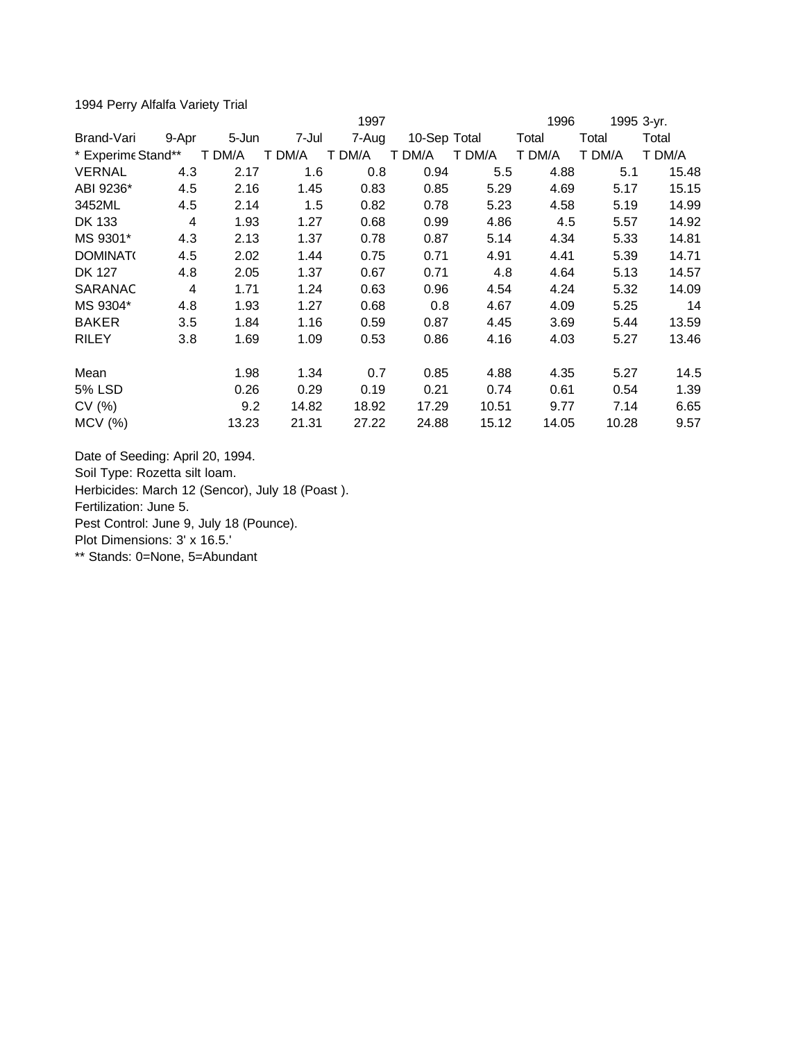1994 Perry Alfalfa Variety Trial

|                    |       |        |        | 1997   |              |        | 1996   | 1995 3-yr. |        |
|--------------------|-------|--------|--------|--------|--------------|--------|--------|------------|--------|
| Brand-Vari         | 9-Apr | 5-Jun  | 7-Jul  | 7-Aug  | 10-Sep Total |        | Total  | Total      | Total  |
| * Experime Stand** |       | T DM/A | T DM/A | T DM/A | T DM/A       | T DM/A | T DM/A | T DM/A     | T DM/A |
| <b>VERNAL</b>      | 4.3   | 2.17   | 1.6    | 0.8    | 0.94         | 5.5    | 4.88   | 5.1        | 15.48  |
| ABI 9236*          | 4.5   | 2.16   | 1.45   | 0.83   | 0.85         | 5.29   | 4.69   | 5.17       | 15.15  |
| 3452ML             | 4.5   | 2.14   | 1.5    | 0.82   | 0.78         | 5.23   | 4.58   | 5.19       | 14.99  |
| DK 133             | 4     | 1.93   | 1.27   | 0.68   | 0.99         | 4.86   | 4.5    | 5.57       | 14.92  |
| MS 9301*           | 4.3   | 2.13   | 1.37   | 0.78   | 0.87         | 5.14   | 4.34   | 5.33       | 14.81  |
| <b>DOMINAT</b>     | 4.5   | 2.02   | 1.44   | 0.75   | 0.71         | 4.91   | 4.41   | 5.39       | 14.71  |
| <b>DK 127</b>      | 4.8   | 2.05   | 1.37   | 0.67   | 0.71         | 4.8    | 4.64   | 5.13       | 14.57  |
| SARANAC            | 4     | 1.71   | 1.24   | 0.63   | 0.96         | 4.54   | 4.24   | 5.32       | 14.09  |
| MS 9304*           | 4.8   | 1.93   | 1.27   | 0.68   | 0.8          | 4.67   | 4.09   | 5.25       | 14     |
| <b>BAKER</b>       | 3.5   | 1.84   | 1.16   | 0.59   | 0.87         | 4.45   | 3.69   | 5.44       | 13.59  |
| <b>RILEY</b>       | 3.8   | 1.69   | 1.09   | 0.53   | 0.86         | 4.16   | 4.03   | 5.27       | 13.46  |
| Mean               |       | 1.98   | 1.34   | 0.7    | 0.85         | 4.88   | 4.35   | 5.27       | 14.5   |
| 5% LSD             |       | 0.26   | 0.29   | 0.19   | 0.21         | 0.74   | 0.61   | 0.54       | 1.39   |
| CV(%)              |       | 9.2    | 14.82  | 18.92  | 17.29        | 10.51  | 9.77   | 7.14       | 6.65   |
| $MCV$ (%)          |       | 13.23  | 21.31  | 27.22  | 24.88        | 15.12  | 14.05  | 10.28      | 9.57   |

Date of Seeding: April 20, 1994. Soil Type: Rozetta silt loam. Herbicides: March 12 (Sencor), July 18 (Poast ). Fertilization: June 5. Pest Control: June 9, July 18 (Pounce). Plot Dimensions: 3' x 16.5.' \*\* Stands: 0=None, 5=Abundant